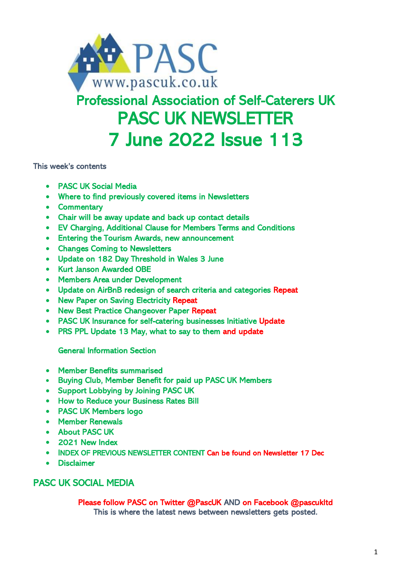

# Professional Association of Self-Caterers UK PASC UK NEWSLETTER 7 June 2022 Issue 113

This week's contents

- PASC UK Social Media
- Where to find previously covered items in Newsletters
- Commentary
- Chair will be away update and back up contact details
- EV Charging, Additional Clause for Members Terms and Conditions
- Entering the Tourism Awards, new announcement
- Changes Coming to Newsletters
- Update on 182 Day Threshold in Wales 3 June
- Kurt Janson Awarded OBE
- Members Area under Development
- Update on AirBnB redesign of search criteria and categories Repeat
- New Paper on Saving Electricity Repeat
- New Best Practice Changeover Paper Repeat
- PASC UK Insurance for self-catering businesses Initiative Update
- PRS PPL Update 13 May, what to say to them and update

General Information Section

- Member Benefits summarised
- Buying Club, Member Benefit for paid up PASC UK Members
- Support Lobbying by Joining PASC UK
- How to Reduce your Business Rates Bill
- PASC UK Members logo
- Member Renewals
- About PASC UK
- 2021 New Index
- INDEX OF PREVIOUS NEWSLETTER CONTENT Can be found on Newsletter 17 Dec
- **Disclaimer**

# PASC UK SOCIAL MEDIA

Please follow PASC on Twitter @PascUK AND on Facebook @pascukltd This is where the latest news between newsletters gets posted.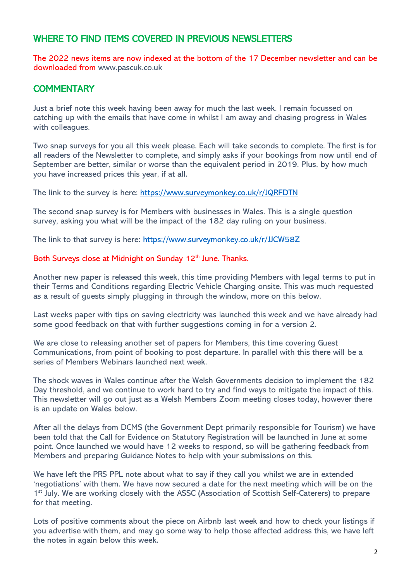# WHERE TO FIND ITEMS COVERED IN PREVIOUS NEWSLETTERS

The 2022 news items are now indexed at the bottom of the 17 December newsletter and can be downloaded from [www.pascuk.co.uk](http://www.pascuk.co.uk/)

# **COMMENTARY**

Just a brief note this week having been away for much the last week. I remain focussed on catching up with the emails that have come in whilst I am away and chasing progress in Wales with colleagues.

Two snap surveys for you all this week please. Each will take seconds to complete. The first is for all readers of the Newsletter to complete, and simply asks if your bookings from now until end of September are better, similar or worse than the equivalent period in 2019. Plus, by how much you have increased prices this year, if at all.

The link to the survey is here: <https://www.surveymonkey.co.uk/r/JQRFDTN>

The second snap survey is for Members with businesses in Wales. This is a single question survey, asking you what will be the impact of the 182 day ruling on your business.

The link to that survey is here: <https://www.surveymonkey.co.uk/r/JJCW58Z>

#### Both Surveys close at Midnight on Sunday 12<sup>th</sup> June. Thanks.

Another new paper is released this week, this time providing Members with legal terms to put in their Terms and Conditions regarding Electric Vehicle Charging onsite. This was much requested as a result of guests simply plugging in through the window, more on this below.

Last weeks paper with tips on saving electricity was launched this week and we have already had some good feedback on that with further suggestions coming in for a version 2.

We are close to releasing another set of papers for Members, this time covering Guest Communications, from point of booking to post departure. In parallel with this there will be a series of Members Webinars launched next week.

The shock waves in Wales continue after the Welsh Governments decision to implement the 182 Day threshold, and we continue to work hard to try and find ways to mitigate the impact of this. This newsletter will go out just as a Welsh Members Zoom meeting closes today, however there is an update on Wales below.

After all the delays from DCMS (the Government Dept primarily responsible for Tourism) we have been told that the Call for Evidence on Statutory Registration will be launched in June at some point. Once launched we would have 12 weeks to respond, so will be gathering feedback from Members and preparing Guidance Notes to help with your submissions on this.

We have left the PRS PPL note about what to say if they call you whilst we are in extended 'negotiations' with them. We have now secured a date for the next meeting which will be on the 1<sup>st</sup> July. We are working closely with the ASSC (Association of Scottish Self-Caterers) to prepare for that meeting.

Lots of positive comments about the piece on Airbnb last week and how to check your listings if you advertise with them, and may go some way to help those affected address this, we have left the notes in again below this week.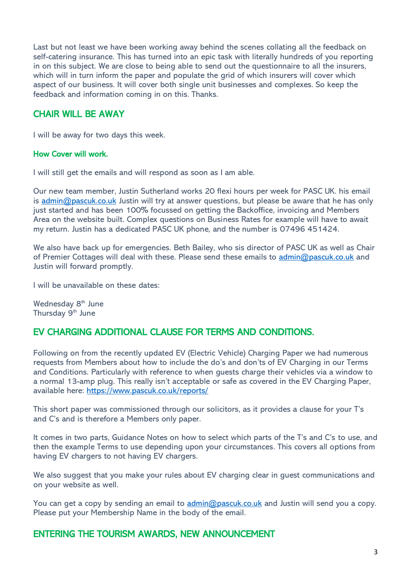Last but not least we have been working away behind the scenes collating all the feedback on self-catering insurance. This has turned into an epic task with literally hundreds of you reporting in on this subject. We are close to being able to send out the questionnaire to all the insurers, which will in turn inform the paper and populate the grid of which insurers will cover which aspect of our business. It will cover both single unit businesses and complexes. So keep the feedback and information coming in on this. Thanks.

## CHAIR WILL BE AWAY

I will be away for two days this week.

#### How Cover will work.

I will still get the emails and will respond as soon as I am able.

Our new team member, Justin Sutherland works 20 flexi hours per week for PASC UK. his email is [admin@pascuk.co.uk](mailto:admin@pascuk.co.uk) Justin will try at answer questions, but please be aware that he has only just started and has been 100% focussed on getting the Backoffice, invoicing and Members Area on the website built. Complex questions on Business Rates for example will have to await my return. Justin has a dedicated PASC UK phone, and the number is 07496 451424.

We also have back up for emergencies. Beth Bailey, who sis director of PASC UK as well as Chair of Premier Cottages will deal with these. Please send these emails to [admin@pascuk.co.uk](mailto:admin@pascuk.co.uk) and Justin will forward promptly.

I will be unavailable on these dates:

Wednesday 8<sup>th</sup> June Thursday 9<sup>th</sup> June

# EV CHARGING ADDITIONAL CLAUSE FOR TERMS AND CONDITIONS.

Following on from the recently updated EV (Electric Vehicle) Charging Paper we had numerous requests from Members about how to include the do's and don'ts of EV Charging in our Terms and Conditions. Particularly with reference to when guests charge their vehicles via a window to a normal 13-amp plug. This really isn't acceptable or safe as covered in the EV Charging Paper, available here:<https://www.pascuk.co.uk/reports/>

This short paper was commissioned through our solicitors, as it provides a clause for your T's and C's and is therefore a Members only paper.

It comes in two parts, Guidance Notes on how to select which parts of the T's and C's to use, and then the example Terms to use depending upon your circumstances. This covers all options from having EV chargers to not having EV chargers.

We also suggest that you make your rules about EV charging clear in guest communications and on your website as well.

You can get a copy by sending an email to [admin@pascuk.co.uk](mailto:admin@pascuk.co.uk) and Justin will send you a copy. Please put your Membership Name in the body of the email.

### ENTERING THE TOURISM AWARDS, NEW ANNOUNCEMENT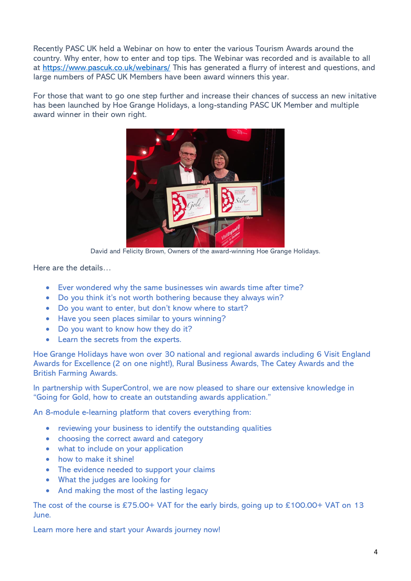Recently PASC UK held a Webinar on how to enter the various Tourism Awards around the country. Why enter, how to enter and top tips. The Webinar was recorded and is available to all at<https://www.pascuk.co.uk/webinars/> This has generated a flurry of interest and questions, and large numbers of PASC UK Members have been award winners this year.

For those that want to go one step further and increase their chances of success an new initative has been launched by Hoe Grange Holidays, a long-standing PASC UK Member and multiple award winner in their own right.



David and Felicity Brown, Owners of the award-winning Hoe Grange Holidays.

Here are the details…

- Ever wondered why the same businesses win awards time after time?
- Do you think it's not worth bothering because they always win?
- Do you want to enter, but don't know where to start?
- Have you seen places similar to yours winning?
- Do you want to know how they do it?
- Learn the secrets from the experts.

Hoe Grange Holidays have won over 30 national and regional awards including 6 Visit England Awards for Excellence (2 on one night!), Rural Business Awards, The Catey Awards and the British Farming Awards.

In partnership with SuperControl, we are now pleased to share our extensive knowledge in "Going for Gold, how to create an outstanding awards application."

An 8-module e-learning platform that covers everything from:

- reviewing your business to identify the outstanding qualities
- choosing the correct award and category
- what to include on your application
- how to make it shine!
- The evidence needed to support your claims
- What the judges are looking for
- And making the most of the lasting legacy

The cost of the course is £75.00+ VAT for the early birds, going up to £100.00+ VAT on 13 June.

Learn more here and start your Awards journey now!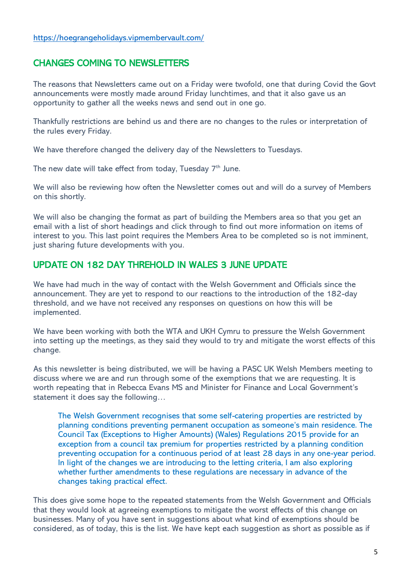# CHANGES COMING TO NEWSLETTERS

The reasons that Newsletters came out on a Friday were twofold, one that during Covid the Govt announcements were mostly made around Friday lunchtimes, and that it also gave us an opportunity to gather all the weeks news and send out in one go.

Thankfully restrictions are behind us and there are no changes to the rules or interpretation of the rules every Friday.

We have therefore changed the delivery day of the Newsletters to Tuesdays.

The new date will take effect from today, Tuesday  $7<sup>th</sup>$  June.

We will also be reviewing how often the Newsletter comes out and will do a survey of Members on this shortly.

We will also be changing the format as part of building the Members area so that you get an email with a list of short headings and click through to find out more information on items of interest to you. This last point requires the Members Area to be completed so is not imminent, just sharing future developments with you.

### UPDATE ON 182 DAY THREHOLD IN WALES 3 JUNE UPDATE

We have had much in the way of contact with the Welsh Government and Officials since the announcement. They are yet to respond to our reactions to the introduction of the 182-day threshold, and we have not received any responses on questions on how this will be implemented.

We have been working with both the WTA and UKH Cymru to pressure the Welsh Government into setting up the meetings, as they said they would to try and mitigate the worst effects of this change.

As this newsletter is being distributed, we will be having a PASC UK Welsh Members meeting to discuss where we are and run through some of the exemptions that we are requesting. It is worth repeating that in Rebecca Evans MS and Minister for Finance and Local Government's statement it does say the following…

The Welsh Government recognises that some self-catering properties are restricted by planning conditions preventing permanent occupation as someone's main residence. The Council Tax (Exceptions to Higher Amounts) (Wales) Regulations 2015 provide for an exception from a council tax premium for properties restricted by a planning condition preventing occupation for a continuous period of at least 28 days in any one-year period. In light of the changes we are introducing to the letting criteria, I am also exploring whether further amendments to these regulations are necessary in advance of the changes taking practical effect.

This does give some hope to the repeated statements from the Welsh Government and Officials that they would look at agreeing exemptions to mitigate the worst effects of this change on businesses. Many of you have sent in suggestions about what kind of exemptions should be considered, as of today, this is the list. We have kept each suggestion as short as possible as if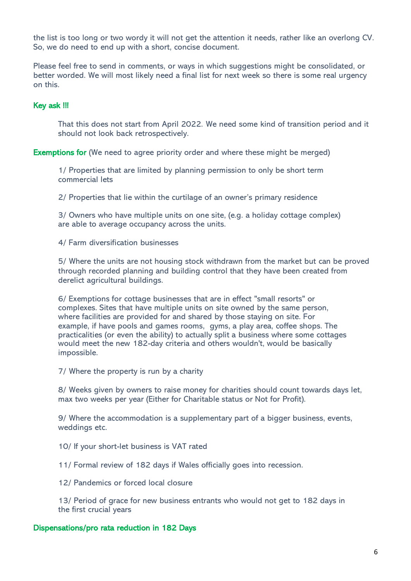the list is too long or two wordy it will not get the attention it needs, rather like an overlong CV. So, we do need to end up with a short, concise document.

Please feel free to send in comments, or ways in which suggestions might be consolidated, or better worded. We will most likely need a final list for next week so there is some real urgency on this.

#### Key ask !!!

That this does not start from April 2022. We need some kind of transition period and it should not look back retrospectively.

Exemptions for (We need to agree priority order and where these might be merged)

1/ Properties that are limited by planning permission to only be short term commercial lets

2/ Properties that lie within the curtilage of an owner's primary residence

3/ Owners who have multiple units on one site, (e.g. a holiday cottage complex) are able to average occupancy across the units.

4/ Farm diversification businesses

5/ Where the units are not housing stock withdrawn from the market but can be proved through recorded planning and building control that they have been created from derelict agricultural buildings.

6/ Exemptions for cottage businesses that are in effect "small resorts" or complexes. Sites that have multiple units on site owned by the same person, where facilities are provided for and shared by those staying on site. For example, if have pools and games rooms, gyms, a play area, coffee shops. The practicalities (or even the ability) to actually split a business where some cottages would meet the new 182-day criteria and others wouldn't, would be basically impossible.

7/ Where the property is run by a charity

8/ Weeks given by owners to raise money for charities should count towards days let, max two weeks per year (Either for Charitable status or Not for Profit).

9/ Where the accommodation is a supplementary part of a bigger business, events, weddings etc.

10/ If your short-let business is VAT rated

11/ Formal review of 182 days if Wales officially goes into recession.

12/ Pandemics or forced local closure

13/ Period of grace for new business entrants who would not get to 182 days in the first crucial years

#### Dispensations/pro rata reduction in 182 Days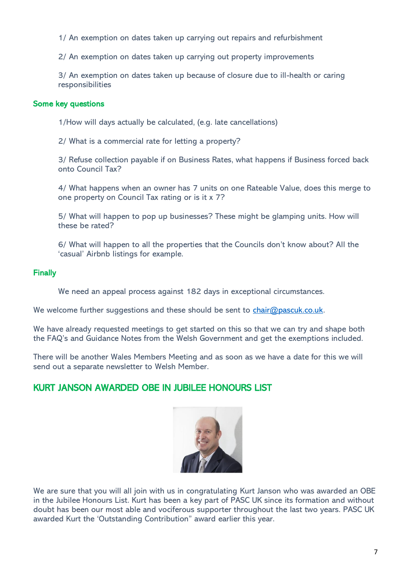1/ An exemption on dates taken up carrying out repairs and refurbishment

2/ An exemption on dates taken up carrying out property improvements

3/ An exemption on dates taken up because of closure due to ill-health or caring responsibilities

#### Some key questions

1/How will days actually be calculated, (e.g. late cancellations)

2/ What is a commercial rate for letting a property?

3/ Refuse collection payable if on Business Rates, what happens if Business forced back onto Council Tax?

4/ What happens when an owner has 7 units on one Rateable Value, does this merge to one property on Council Tax rating or is it x 7?

5/ What will happen to pop up businesses? These might be glamping units. How will these be rated?

6/ What will happen to all the properties that the Councils don't know about? All the 'casual' Airbnb listings for example.

#### Finally

We need an appeal process against 182 days in exceptional circumstances.

We welcome further suggestions and these should be sent to [chair@pascuk.co.uk.](mailto:chair@pascuk.co.uk)

We have already requested meetings to get started on this so that we can try and shape both the FAQ's and Guidance Notes from the Welsh Government and get the exemptions included.

There will be another Wales Members Meeting and as soon as we have a date for this we will send out a separate newsletter to Welsh Member.

### KURT JANSON AWARDED OBE IN JUBILEE HONOURS LIST



We are sure that you will all join with us in congratulating Kurt Janson who was awarded an OBE in the Jubilee Honours List. Kurt has been a key part of PASC UK since its formation and without doubt has been our most able and vociferous supporter throughout the last two years. PASC UK awarded Kurt the 'Outstanding Contribution" award earlier this year.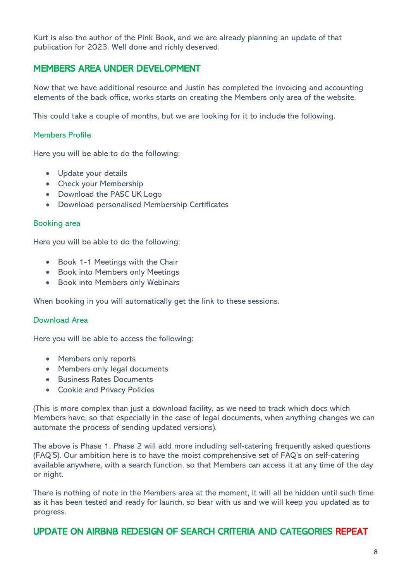Kurt is also the author of the Pink Book, and we are already planning an update of that publication for 2023. Well done and richly deserved.

## MEMBERS AREA UNDER DEVELOPMENT

Now that we have additional resource and Justin has completed the invoicing and accounting elements of the back office, works starts on creating the Members only area of the website.

This could take a couple of months, but we are looking for it to include the following.

#### Members Profile

Here you will be able to do the following:

- Update your details
- Check your Membership
- Download the PASC UK Logo
- Download personalised Membership Certificates

#### Booking area

Here you will be able to do the following:

- Book 1-1 Meetings with the Chair
- Book into Members only Meetings
- Book into Members only Webinars

When booking in you will automatically get the link to these sessions.

#### Download Area

Here you will be able to access the following:

- Members only reports
- Members only legal documents
- Business Rates Documents
- Cookie and Privacy Policies

(This is more complex than just a download facility, as we need to track which docs which Members have, so that especially in the case of legal documents, when anything changes we can automate the process of sending updated versions).

The above is Phase 1. Phase 2 will add more including self-catering frequently asked questions (FAQ'S). Our ambition here is to have the moist comprehensive set of FAQ's on self-catering available anywhere, with a search function, so that Members can access it at any time of the day or night.

There is nothing of note in the Members area at the moment, it will all be hidden until such time as it has been tested and ready for launch, so bear with us and we will keep you updated as to progress.

### UPDATE ON AIRBNB REDESIGN OF SEARCH CRITERIA AND CATEGORIES REPEAT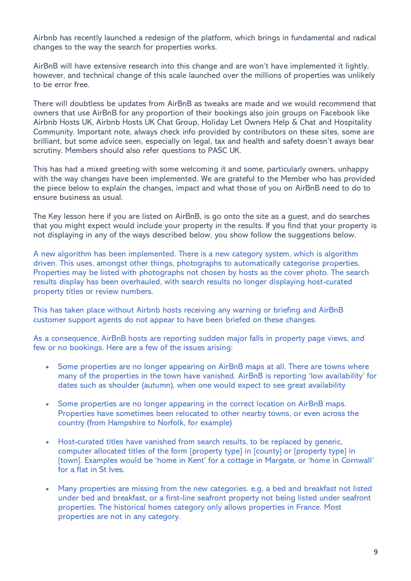Airbnb has recently launched a redesign of the platform, which brings in fundamental and radical changes to the way the search for properties works.

AirBnB will have extensive research into this change and are won't have implemented it lightly, however, and technical change of this scale launched over the millions of properties was unlikely to be error free.

There will doubtless be updates from AirBnB as tweaks are made and we would recommend that owners that use AirBnB for any proportion of their bookings also join groups on Facebook like Airbnb Hosts UK, Airbnb Hosts UK Chat Group, Holiday Let Owners Help & Chat and Hospitality Community. Important note, always check info provided by contributors on these sites, some are brilliant, but some advice seen, especially on legal, tax and health and safety doesn't aways bear scrutiny. Members should also refer questions to PASC UK.

This has had a mixed greeting with some welcoming it and some, particularly owners, unhappy with the way changes have been implemented. We are grateful to the Member who has provided the piece below to explain the changes, impact and what those of you on AirBnB need to do to ensure business as usual.

The Key lesson here if you are listed on AirBnB, is go onto the site as a guest, and do searches that you might expect would include your property in the results. If you find that your property is not displaying in any of the ways described below, you show follow the suggestions below.

A new algorithm has been implemented. There is a new category system, which is algorithm driven. This uses, amongst other things, photographs to automatically categorise properties. Properties may be listed with photographs not chosen by hosts as the cover photo. The search results display has been overhauled, with search results no longer displaying host-curated property titles or review numbers.

This has taken place without Airbnb hosts receiving any warning or briefing and AirBnB customer support agents do not appear to have been briefed on these changes.

As a consequence, AirBnB hosts are reporting sudden major falls in property page views, and few or no bookings. Here are a few of the issues arising:

- Some properties are no longer appearing on AirBnB maps at all. There are towns where many of the properties in the town have vanished. AirBnB is reporting 'low availability' for dates such as shoulder (autumn), when one would expect to see great availability
- Some properties are no longer appearing in the correct location on AirBnB maps. Properties have sometimes been relocated to other nearby towns, or even across the country (from Hampshire to Norfolk, for example)
- Host-curated titles have vanished from search results, to be replaced by generic, computer allocated titles of the form [property type] in [county] or [property type] in [town]. Examples would be 'home in Kent' for a cottage in Margate, or 'home in Cornwall' for a flat in St Ives.
- Many properties are missing from the new categories. e.g. a bed and breakfast not listed under bed and breakfast, or a first-line seafront property not being listed under seafront properties. The historical homes category only allows properties in France. Most properties are not in any category.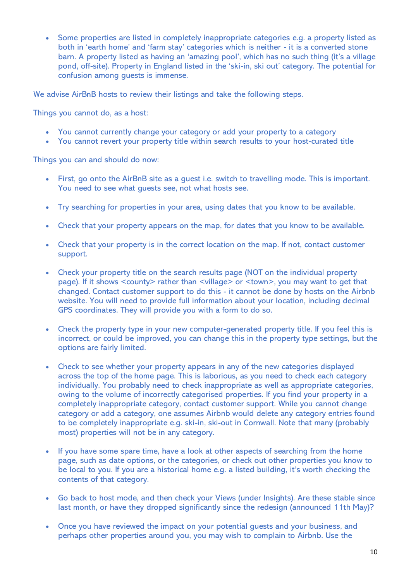Some properties are listed in completely inappropriate categories e.g. a property listed as both in 'earth home' and 'farm stay' categories which is neither - it is a converted stone barn. A property listed as having an 'amazing pool', which has no such thing (it's a village pond, off-site). Property in England listed in the 'ski-in, ski out' category. The potential for confusion among guests is immense.

We advise AirBnB hosts to review their listings and take the following steps.

Things you cannot do, as a host:

- You cannot currently change your category or add your property to a category
- You cannot revert your property title within search results to your host-curated title

Things you can and should do now:

- First, go onto the AirBnB site as a guest i.e. switch to travelling mode. This is important. You need to see what guests see, not what hosts see.
- Try searching for properties in your area, using dates that you know to be available.
- Check that your property appears on the map, for dates that you know to be available.
- Check that your property is in the correct location on the map. If not, contact customer support.
- Check your property title on the search results page (NOT on the individual property page). If it shows <county> rather than <village> or <town>, you may want to get that changed. Contact customer support to do this - it cannot be done by hosts on the Airbnb website. You will need to provide full information about your location, including decimal GPS coordinates. They will provide you with a form to do so.
- Check the property type in your new computer-generated property title. If you feel this is incorrect, or could be improved, you can change this in the property type settings, but the options are fairly limited.
- Check to see whether your property appears in any of the new categories displayed across the top of the home page. This is laborious, as you need to check each category individually. You probably need to check inappropriate as well as appropriate categories, owing to the volume of incorrectly categorised properties. If you find your property in a completely inappropriate category, contact customer support. While you cannot change category or add a category, one assumes Airbnb would delete any category entries found to be completely inappropriate e.g. ski-in, ski-out in Cornwall. Note that many (probably most) properties will not be in any category.
- If you have some spare time, have a look at other aspects of searching from the home page, such as date options, or the categories, or check out other properties you know to be local to you. If you are a historical home e.g. a listed building, it's worth checking the contents of that category.
- Go back to host mode, and then check your Views (under Insights). Are these stable since last month, or have they dropped significantly since the redesign (announced 11th May)?
- Once you have reviewed the impact on your potential guests and your business, and perhaps other properties around you, you may wish to complain to Airbnb. Use the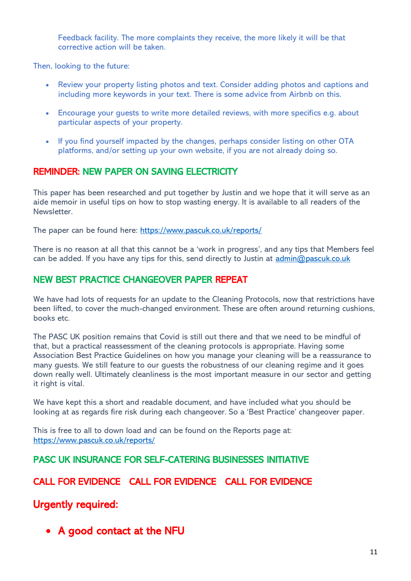Feedback facility. The more complaints they receive, the more likely it will be that corrective action will be taken.

Then, looking to the future:

- Review your property listing photos and text. Consider adding photos and captions and including more keywords in your text. There is some advice from Airbnb on this.
- Encourage your guests to write more detailed reviews, with more specifics e.g. about particular aspects of your property.
- If you find yourself impacted by the changes, perhaps consider listing on other OTA platforms, and/or setting up your own website, if you are not already doing so.

### REMINDER: NEW PAPER ON SAVING ELECTRICITY

This paper has been researched and put together by Justin and we hope that it will serve as an aide memoir in useful tips on how to stop wasting energy. It is available to all readers of the Newsletter.

The paper can be found here:<https://www.pascuk.co.uk/reports/>

There is no reason at all that this cannot be a 'work in progress', and any tips that Members feel can be added. If you have any tips for this, send directly to Justin at [admin@pascuk.co.uk](mailto:admin@pascuk.co.uk)

# NEW BEST PRACTICE CHANGEOVER PAPER REPEAT

We have had lots of requests for an update to the Cleaning Protocols, now that restrictions have been lifted, to cover the much-changed environment. These are often around returning cushions, books etc.

The PASC UK position remains that Covid is still out there and that we need to be mindful of that, but a practical reassessment of the cleaning protocols is appropriate. Having some Association Best Practice Guidelines on how you manage your cleaning will be a reassurance to many guests. We still feature to our guests the robustness of our cleaning regime and it goes down really well. Ultimately cleanliness is the most important measure in our sector and getting it right is vital.

We have kept this a short and readable document, and have included what you should be looking at as regards fire risk during each changeover. So a 'Best Practice' changeover paper.

This is free to all to down load and can be found on the Reports page at: <https://www.pascuk.co.uk/reports/>

PASC UK INSURANCE FOR SELF-CATERING BUSINESSES INITIATIVE

# CALL FOR EVIDENCE CALL FOR EVIDENCE CALL FOR EVIDENCE

Urgently required:

• A good contact at the NFU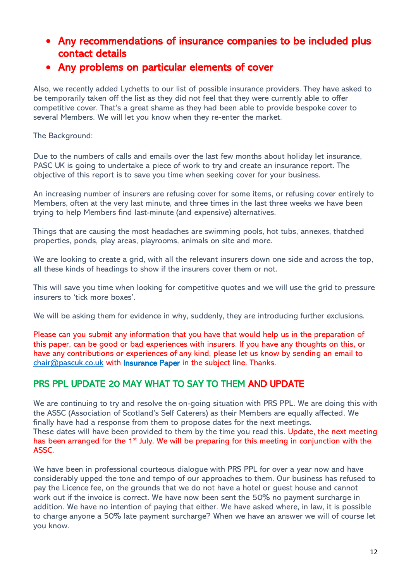- Any recommendations of insurance companies to be included plus contact details
- Any problems on particular elements of cover

Also, we recently added Lychetts to our list of possible insurance providers. They have asked to be temporarily taken off the list as they did not feel that they were currently able to offer competitive cover. That's a great shame as they had been able to provide bespoke cover to several Members. We will let you know when they re-enter the market.

The Background:

Due to the numbers of calls and emails over the last few months about holiday let insurance, PASC UK is going to undertake a piece of work to try and create an insurance report. The objective of this report is to save you time when seeking cover for your business.

An increasing number of insurers are refusing cover for some items, or refusing cover entirely to Members, often at the very last minute, and three times in the last three weeks we have been trying to help Members find last-minute (and expensive) alternatives.

Things that are causing the most headaches are swimming pools, hot tubs, annexes, thatched properties, ponds, play areas, playrooms, animals on site and more.

We are looking to create a grid, with all the relevant insurers down one side and across the top, all these kinds of headings to show if the insurers cover them or not.

This will save you time when looking for competitive quotes and we will use the grid to pressure insurers to 'tick more boxes'.

We will be asking them for evidence in why, suddenly, they are introducing further exclusions.

Please can you submit any information that you have that would help us in the preparation of this paper, can be good or bad experiences with insurers. If you have any thoughts on this, or have any contributions or experiences of any kind, please let us know by sending an email to [chair@pascuk.co.uk](mailto:chair@pascuk.co.uk) with Insurance Paper in the subject line. Thanks.

# PRS PPL UPDATE 20 MAY WHAT TO SAY TO THEM AND UPDATE

We are continuing to try and resolve the on-going situation with PRS PPL. We are doing this with the ASSC (Association of Scotland's Self Caterers) as their Members are equally affected. We finally have had a response from them to propose dates for the next meetings. These dates will have been provided to them by the time you read this. Update, the next meeting has been arranged for the 1<sup>st</sup> July. We will be preparing for this meeting in conjunction with the ASSC.

We have been in professional courteous dialogue with PRS PPL for over a year now and have considerably upped the tone and tempo of our approaches to them. Our business has refused to pay the Licence fee, on the grounds that we do not have a hotel or guest house and cannot work out if the invoice is correct. We have now been sent the 50% no payment surcharge in addition. We have no intention of paying that either. We have asked where, in law, it is possible to charge anyone a 50% late payment surcharge? When we have an answer we will of course let you know.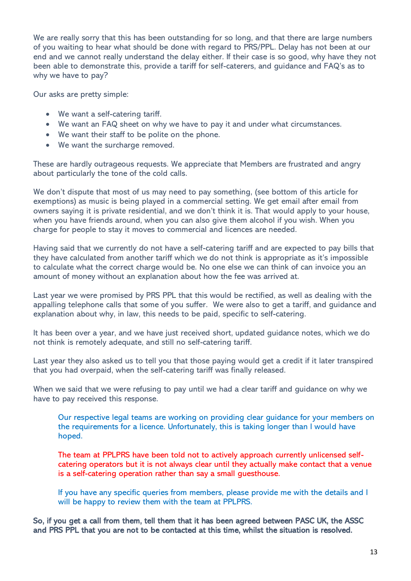We are really sorry that this has been outstanding for so long, and that there are large numbers of you waiting to hear what should be done with regard to PRS/PPL. Delay has not been at our end and we cannot really understand the delay either. If their case is so good, why have they not been able to demonstrate this, provide a tariff for self-caterers, and guidance and FAQ's as to why we have to pay?

Our asks are pretty simple:

- We want a self-catering tariff.
- We want an FAQ sheet on why we have to pay it and under what circumstances.
- We want their staff to be polite on the phone.
- We want the surcharge removed.

These are hardly outrageous requests. We appreciate that Members are frustrated and angry about particularly the tone of the cold calls.

We don't dispute that most of us may need to pay something, (see bottom of this article for exemptions) as music is being played in a commercial setting. We get email after email from owners saying it is private residential, and we don't think it is. That would apply to your house, when you have friends around, when you can also give them alcohol if you wish. When you charge for people to stay it moves to commercial and licences are needed.

Having said that we currently do not have a self-catering tariff and are expected to pay bills that they have calculated from another tariff which we do not think is appropriate as it's impossible to calculate what the correct charge would be. No one else we can think of can invoice you an amount of money without an explanation about how the fee was arrived at.

Last year we were promised by PRS PPL that this would be rectified, as well as dealing with the appalling telephone calls that some of you suffer. We were also to get a tariff, and guidance and explanation about why, in law, this needs to be paid, specific to self-catering.

It has been over a year, and we have just received short, updated guidance notes, which we do not think is remotely adequate, and still no self-catering tariff.

Last year they also asked us to tell you that those paying would get a credit if it later transpired that you had overpaid, when the self-catering tariff was finally released.

When we said that we were refusing to pay until we had a clear tariff and guidance on why we have to pay received this response.

Our respective legal teams are working on providing clear guidance for your members on the requirements for a licence. Unfortunately, this is taking longer than I would have hoped.

The team at PPLPRS have been told not to actively approach currently unlicensed selfcatering operators but it is not always clear until they actually make contact that a venue is a self-catering operation rather than say a small guesthouse.

If you have any specific queries from members, please provide me with the details and I will be happy to review them with the team at PPLPRS.

So, if you get a call from them, tell them that it has been agreed between PASC UK, the ASSC and PRS PPL that you are not to be contacted at this time, whilst the situation is resolved.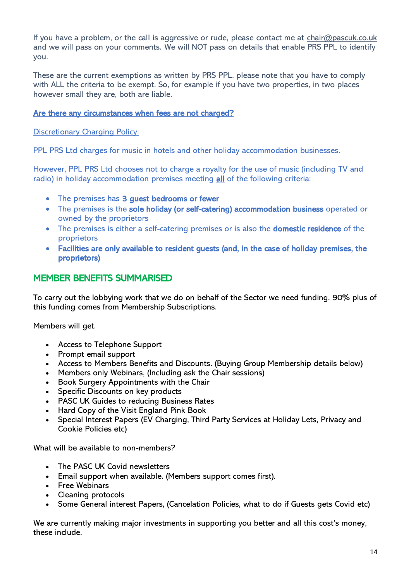If you have a problem, or the call is aggressive or rude, please contact me at [chair@pascuk.co.uk](mailto:chair@pascuk.co.uk) and we will pass on your comments. We will NOT pass on details that enable PRS PPL to identify you.

These are the current exemptions as written by PRS PPL, please note that you have to comply with ALL the criteria to be exempt. So, for example if you have two properties, in two places however small they are, both are liable.

#### Are there any circumstances when fees are not charged?

Discretionary Charging Policy:

PPL PRS Ltd charges for music in hotels and other holiday accommodation businesses.

However, PPL PRS Ltd chooses not to charge a royalty for the use of music (including TV and radio) in holiday accommodation premises meeting all of the following criteria:

- The premises has 3 guest bedrooms or fewer
- The premises is the sole holiday (or self-catering) accommodation business operated or owned by the proprietors
- The premises is either a self-catering premises or is also the **domestic residence** of the proprietors
- Facilities are only available to resident guests (and, in the case of holiday premises, the proprietors)

### MEMBER BENEFITS SUMMARISED

To carry out the lobbying work that we do on behalf of the Sector we need funding. 90% plus of this funding comes from Membership Subscriptions.

Members will get.

- Access to Telephone Support
- Prompt email support
- Access to Members Benefits and Discounts. (Buying Group Membership details below)
- Members only Webinars, (Including ask the Chair sessions)
- Book Surgery Appointments with the Chair
- Specific Discounts on key products
- PASC UK Guides to reducing Business Rates
- Hard Copy of the Visit England Pink Book
- Special Interest Papers (EV Charging, Third Party Services at Holiday Lets, Privacy and Cookie Policies etc)

What will be available to non-members?

- The PASC UK Covid newsletters
- Email support when available. (Members support comes first).
- Free Webinars
- Cleaning protocols
- Some General interest Papers, (Cancelation Policies, what to do if Guests gets Covid etc)

We are currently making major investments in supporting you better and all this cost's money, these include.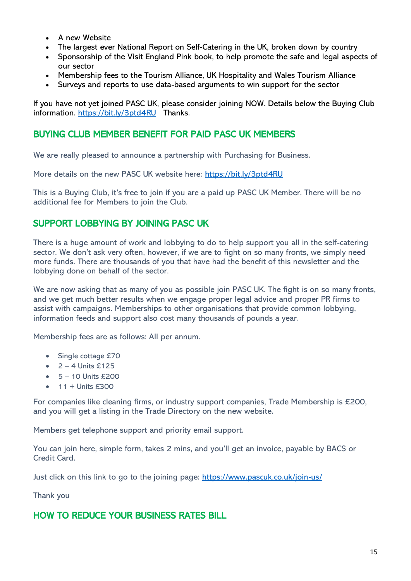- A new Website
- The largest ever National Report on Self-Catering in the UK, broken down by country
- Sponsorship of the Visit England Pink book, to help promote the safe and legal aspects of our sector
- Membership fees to the Tourism Alliance, UK Hospitality and Wales Tourism Alliance
- Surveys and reports to use data-based arguments to win support for the sector

If you have not yet joined PASC UK, please consider joining NOW. Details below the Buying Club information.<https://bit.ly/3ptd4RU>Thanks.

### BUYING CLUB MEMBER BENEFIT FOR PAID PASC UK MEMBERS

We are really pleased to announce a partnership with Purchasing for Business.

More details on the new PASC UK website here:<https://bit.ly/3ptd4RU>

This is a Buying Club, it's free to join if you are a paid up PASC UK Member. There will be no additional fee for Members to join the Club.

# SUPPORT LOBBYING BY JOINING PASC UK

There is a huge amount of work and lobbying to do to help support you all in the self-catering sector. We don't ask very often, however, if we are to fight on so many fronts, we simply need more funds. There are thousands of you that have had the benefit of this newsletter and the lobbying done on behalf of the sector.

We are now asking that as many of you as possible join PASC UK. The fight is on so many fronts, and we get much better results when we engage proper legal advice and proper PR firms to assist with campaigns. Memberships to other organisations that provide common lobbying, information feeds and support also cost many thousands of pounds a year.

Membership fees are as follows: All per annum.

- Single cottage £70
- $\bullet$  2 4 Units £125
- $5 10$  Units  $£200$
- $\bullet$  11 + Units £300

For companies like cleaning firms, or industry support companies, Trade Membership is £200, and you will get a listing in the Trade Directory on the new website.

Members get telephone support and priority email support.

You can join here, simple form, takes 2 mins, and you'll get an invoice, payable by BACS or Credit Card.

Just click on this link to go to the joining page:<https://www.pascuk.co.uk/join-us/>

Thank you

# HOW TO REDUCE YOUR BUSINESS RATES BILL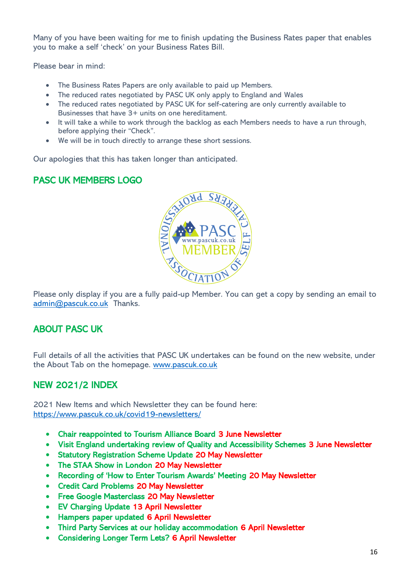Many of you have been waiting for me to finish updating the Business Rates paper that enables you to make a self 'check' on your Business Rates Bill.

Please bear in mind:

- The Business Rates Papers are only available to paid up Members.
- The reduced rates negotiated by PASC UK only apply to England and Wales
- The reduced rates negotiated by PASC UK for self-catering are only currently available to Businesses that have 3+ units on one hereditament.
- It will take a while to work through the backlog as each Members needs to have a run through, before applying their "Check".
- We will be in touch directly to arrange these short sessions.

Our apologies that this has taken longer than anticipated.

# PASC UK MEMBERS LOGO



Please only display if you are a fully paid-up Member. You can get a copy by sending an email to [admin@pascuk.co.uk](mailto:admin@pascuk.co.uk) Thanks.

### ABOUT PASC UK

Full details of all the activities that PASC UK undertakes can be found on the new website, under the About Tab on the homepage. [www.pascuk.co.uk](http://www.pascuk.co.uk/)

# NEW 2021/2 INDEX

2021 New Items and which Newsletter they can be found here: <https://www.pascuk.co.uk/covid19-newsletters/>

- Chair reappointed to Tourism Alliance Board 3 June Newsletter
- Visit England undertaking review of Quality and Accessibility Schemes 3 June Newsletter
- Statutory Registration Scheme Update 20 May Newsletter
- The STAA Show in London 20 May Newsletter
- Recording of 'How to Enter Tourism Awards' Meeting 20 May Newsletter
- Credit Card Problems 20 May Newsletter
- Free Google Masterclass 20 May Newsletter
- EV Charging Update 13 April Newsletter
- Hampers paper updated 6 April Newsletter
- Third Party Services at our holiday accommodation 6 April Newsletter
- Considering Longer Term Lets? 6 April Newsletter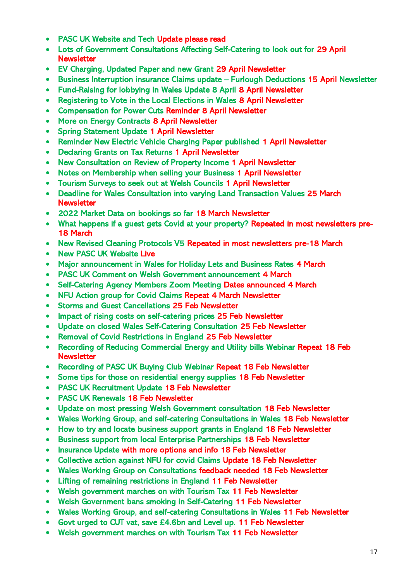- PASC UK Website and Tech Update please read
- Lots of Government Consultations Affecting Self-Catering to look out for 29 April **Newsletter**
- EV Charging, Updated Paper and new Grant 29 April Newsletter
- Business Interruption insurance Claims update Furlough Deductions 15 April Newsletter
- Fund-Raising for lobbying in Wales Update 8 April 8 April Newsletter
- Registering to Vote in the Local Elections in Wales 8 April Newsletter
- Compensation for Power Cuts Reminder 8 April Newsletter
- More on Energy Contracts 8 April Newsletter
- Spring Statement Update 1 April Newsletter
- Reminder New Electric Vehicle Charging Paper published 1 April Newsletter
- Declaring Grants on Tax Returns 1 April Newsletter
- New Consultation on Review of Property Income 1 April Newsletter
- Notes on Membership when selling your Business 1 April Newsletter
- Tourism Surveys to seek out at Welsh Councils 1 April Newsletter
- Deadline for Wales Consultation into varying Land Transaction Values 25 March **Newsletter**
- 2022 Market Data on bookings so far 18 March Newsletter
- What happens if a guest gets Covid at your property? Repeated in most newsletters pre-18 March
- New Revised Cleaning Protocols V5 Repeated in most newsletters pre-18 March
- New PASC UK Website Live
- Major announcement in Wales for Holiday Lets and Business Rates 4 March
- PASC UK Comment on Welsh Government announcement 4 March
- Self-Catering Agency Members Zoom Meeting Dates announced 4 March
- NFU Action group for Covid Claims Repeat 4 March Newsletter
- Storms and Guest Cancellations 25 Feb Newsletter
- Impact of rising costs on self-catering prices 25 Feb Newsletter
- Update on closed Wales Self-Catering Consultation 25 Feb Newsletter
- Removal of Covid Restrictions in England 25 Feb Newsletter
- Recording of Reducing Commercial Energy and Utility bills Webinar Repeat 18 Feb **Newsletter**
- Recording of PASC UK Buying Club Webinar Repeat 18 Feb Newsletter
- Some tips for those on residential energy supplies 18 Feb Newsletter
- PASC UK Recruitment Update 18 Feb Newsletter
- PASC UK Renewals 18 Feb Newsletter
- Update on most pressing Welsh Government consultation 18 Feb Newsletter
- Wales Working Group, and self-catering Consultations in Wales 18 Feb Newsletter
- How to try and locate business support grants in England 18 Feb Newsletter
- Business support from local Enterprise Partnerships 18 Feb Newsletter
- Insurance Update with more options and info 18 Feb Newsletter
- Collective action against NFU for covid Claims Update 18 Feb Newsletter
- Wales Working Group on Consultations feedback needed 18 Feb Newsletter
- Lifting of remaining restrictions in England 11 Feb Newsletter
- Welsh government marches on with Tourism Tax 11 Feb Newsletter
- Welsh Government bans smoking in Self-Catering 11 Feb Newsletter
- Wales Working Group, and self-catering Consultations in Wales 11 Feb Newsletter
- Govt urged to CUT vat, save £4.6bn and Level up. 11 Feb Newsletter
- Welsh government marches on with Tourism Tax 11 Feb Newsletter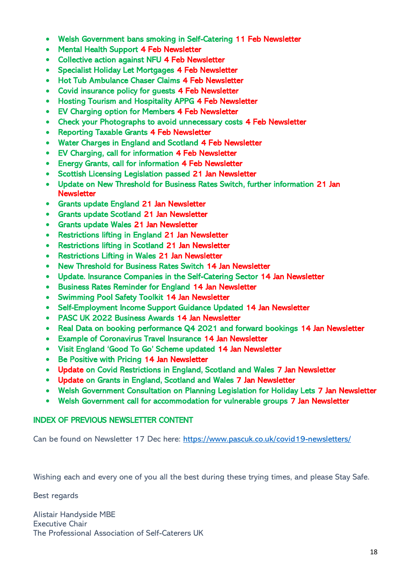- Welsh Government bans smoking in Self-Catering 11 Feb Newsletter
- Mental Health Support 4 Feb Newsletter
- Collective action against NFU 4 Feb Newsletter
- Specialist Holiday Let Mortgages 4 Feb Newsletter
- Hot Tub Ambulance Chaser Claims 4 Feb Newsletter
- Covid insurance policy for guests 4 Feb Newsletter
- Hosting Tourism and Hospitality APPG 4 Feb Newsletter
- EV Charging option for Members 4 Feb Newsletter
- Check your Photographs to avoid unnecessary costs 4 Feb Newsletter
- Reporting Taxable Grants 4 Feb Newsletter
- Water Charges in England and Scotland 4 Feb Newsletter
- EV Charging, call for information 4 Feb Newsletter
- Energy Grants, call for information 4 Feb Newsletter
- Scottish Licensing Legislation passed 21 Jan Newsletter
- Update on New Threshold for Business Rates Switch, further information 21 Jan **Newsletter**
- Grants update England 21 Jan Newsletter
- Grants update Scotland 21 Jan Newsletter
- Grants update Wales 21 Jan Newsletter
- Restrictions lifting in England 21 Jan Newsletter
- Restrictions lifting in Scotland 21 Jan Newsletter
- Restrictions Lifting in Wales 21 Jan Newsletter
- New Threshold for Business Rates Switch 14 Jan Newsletter
- Update. Insurance Companies in the Self-Catering Sector 14 Jan Newsletter
- Business Rates Reminder for England 14 Jan Newsletter
- Swimming Pool Safety Toolkit 14 Jan Newsletter
- Self-Employment Income Support Guidance Updated 14 Jan Newsletter
- PASC UK 2022 Business Awards 14 Jan Newsletter
- Real Data on booking performance Q4 2021 and forward bookings 14 Jan Newsletter
- Example of Coronavirus Travel Insurance 14 Jan Newsletter
- Visit England 'Good To Go' Scheme updated 14 Jan Newsletter
- Be Positive with Pricing 14 Jan Newsletter
- Update on Covid Restrictions in England, Scotland and Wales 7 Jan Newsletter
- Update on Grants in England, Scotland and Wales 7 Jan Newsletter
- Welsh Government Consultation on Planning Legislation for Holiday Lets 7 Jan Newsletter
- Welsh Government call for accommodation for vulnerable groups 7 Jan Newsletter

### INDEX OF PREVIOUS NEWSLETTER CONTENT

Can be found on Newsletter 17 Dec here:<https://www.pascuk.co.uk/covid19-newsletters/>

Wishing each and every one of you all the best during these trying times, and please Stay Safe.

Best regards

Alistair Handyside MBE Executive Chair The Professional Association of Self-Caterers UK